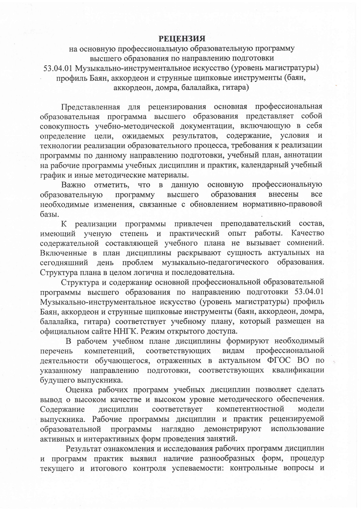## **РЕЦЕНЗИЯ**

на основную профессиональную образовательную программу высшего образования по направлению подготовки 53.04.01 Музыкально-инструментальное искусство (уровень магистратуры) профиль Баян, аккордеон и струнные щипковые инструменты (баян, аккордеон, домра, балалайка, гитара)

Представленная для рецензирования основная профессиональная образовательная программа высшего образования представляет собой совокупность учебно-методической документации, включающую в себя определение цели, ожидаемых результатов, содержание, условия и технологии реализации образовательного процесса, требования к реализации программы по данному направлению подготовки, учебный план, аннотации на рабочие программы учебных дисциплин и практик, календарный учебный график и иные методические материалы.

Важно отметить, что в данную основную профессиональную программу образования высшего внесены **BCC** образовательную необходимые изменения, связанные с обновлением нормативно-правовой базы.

К реализации программы привлечен преподавательский состав, имеющий ученую степень и практический опыт работы. Качество содержательной составляющей учебного плана не вызывает сомнений. Включенные в план дисциплины раскрывают сущность актуальных на проблем музыкально-педагогического образования. сегодняшний день Структура плана в целом логична и последовательна.

Структура и содержание основной профессиональной образовательной программы высшего образования по направлению подготовки 53.04.01 Музыкально-инструментальное искусство (уровень магистратуры) профиль Баян, аккордеон и струнные щипковые инструменты (баян, аккордеон, домра, балалайка, гитара) соответствует учебному плану, который размещен на официальном сайте ННГК. Режим открытого доступа.

В рабочем учебном плане дисциплины формируют необходимый соответствующих профессиональной видам компетенций, перечень деятельности обучающегося, отраженных в актуальном ФГОС ВО по указанному направлению подготовки, соответствующих квалификации будущего выпускника.

Оценка рабочих программ учебных дисциплин позволяет сделать вывод о высоком качестве и высоком уровне методического обеспечения. соответствует компетентностной Содержание дисциплин модели выпускника. Рабочие программы дисциплин и практик рецензируемой образовательной программы наглядно демонстрируют использование активных и интерактивных форм проведения занятий.

Результат ознакомления и исследования рабочих программ дисциплин и программ практик выявил наличие разнообразных форм, процедур текущего и итогового контроля успеваемости: контрольные вопросы и